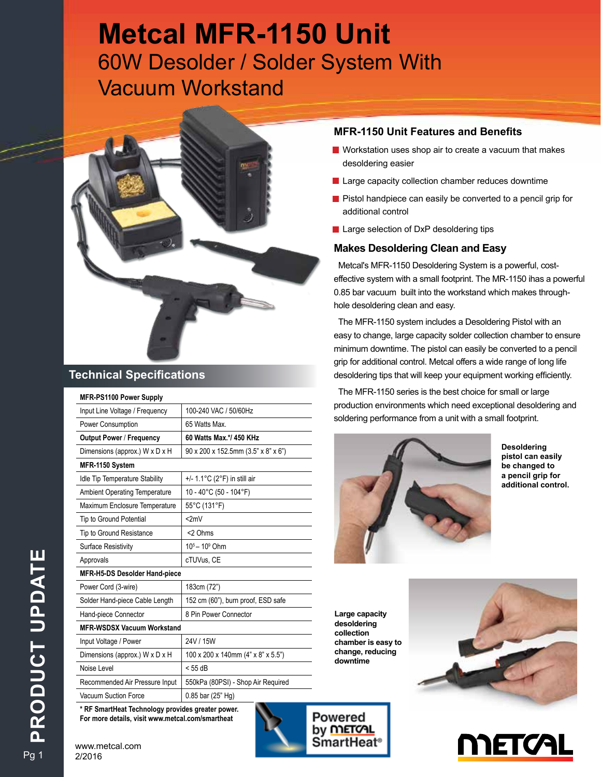# **Metcal MFR-1150 Unit**  60W Desolder / Solder System With Vacuum Workstand



### **Technical Specifications**

| MFR-PS1100 Power Supply               |                                                   |  |  |  |  |
|---------------------------------------|---------------------------------------------------|--|--|--|--|
| Input Line Voltage / Frequency        | 100-240 VAC / 50/60Hz                             |  |  |  |  |
| Power Consumption                     | 65 Watts Max.                                     |  |  |  |  |
| <b>Output Power / Frequency</b>       | 60 Watts Max.*/ 450 KHz                           |  |  |  |  |
| Dimensions (approx.) W x D x H        | $90 \times 200 \times 152.5$ mm (3.5" x 8" x 6")  |  |  |  |  |
| MFR-1150 System                       |                                                   |  |  |  |  |
| <b>Idle Tip Temperature Stability</b> | +/- $1.1^{\circ}$ C (2 $^{\circ}$ F) in still air |  |  |  |  |
| <b>Ambient Operating Temperature</b>  | 10 - 40°C (50 - 104°F)                            |  |  |  |  |
| Maximum Enclosure Temperature         | 55°C (131°F)                                      |  |  |  |  |
| Tip to Ground Potential               | 2mV                                               |  |  |  |  |
| Tip to Ground Resistance              | <2 Ohms                                           |  |  |  |  |
| <b>Surface Resistivity</b>            | $10^5 - 10^9$ Ohm                                 |  |  |  |  |
| Approvals                             | cTUVus. CE                                        |  |  |  |  |
| MFR-H5-DS Desolder Hand-piece         |                                                   |  |  |  |  |
| Power Cord (3-wire)                   | 183cm (72")                                       |  |  |  |  |
| Solder Hand-piece Cable Length        | 152 cm (60"), burn proof, ESD safe                |  |  |  |  |
| Hand-piece Connector                  | 8 Pin Power Connector                             |  |  |  |  |
| <b>MFR-WSDSX Vacuum Workstand</b>     |                                                   |  |  |  |  |
| Input Voltage / Power                 | 24V / 15W                                         |  |  |  |  |
| Dimensions (approx.) W x D x H        | 100 x 200 x 140mm (4" x 8" x 5.5")                |  |  |  |  |
| Noise Level                           | $<$ 55 dB                                         |  |  |  |  |
| Recommended Air Pressure Input        | 550kPa (80PSI) - Shop Air Required                |  |  |  |  |
| <b>Vacuum Suction Force</b>           | 0.85 bar (25" Hg)                                 |  |  |  |  |

**\* RF SmartHeat Technology provides greater power. For more details, visit www.metcal.com/smartheat**

## **Powered** by **METCAL** SmartHeat®

#### **MFR-1150 Unit Features and Benefits**

- $\blacksquare$  Workstation uses shop air to create a vacuum that makes desoldering easier
- $\blacksquare$  Large capacity collection chamber reduces downtime
- **•** Pistol handpiece can easily be converted to a pencil grip for additional control
- **Large selection of DxP desoldering tips**

#### **Makes Desoldering Clean and Easy**

Metcal's MFR-1150 Desoldering System is a powerful, costeffective system with a small footprint. The MR-1150 ihas a powerful 0.85 bar vacuum built into the workstand which makes throughhole desoldering clean and easy.

The MFR-1150 system includes a Desoldering Pistol with an easy to change, large capacity solder collection chamber to ensure minimum downtime. The pistol can easily be converted to a pencil grip for additional control. Metcal offers a wide range of long life desoldering tips that will keep your equipment working efficiently.

The MFR-1150 series is the best choice for small or large production environments which need exceptional desoldering and soldering performance from a unit with a small footprint.



**Desoldering pistol can easily be changed to a pencil grip for additional control.**

**Large capacity desoldering collection chamber is easy to change, reducing downtime**



# <u>METCAL</u>